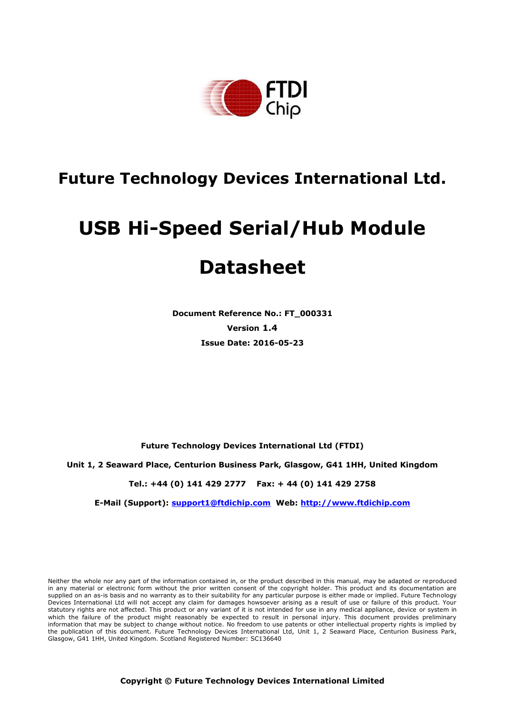

## **Future Technology Devices International Ltd.**

# **USB Hi-Speed Serial/Hub Module**

## **Datasheet**

**Document Reference No.: FT\_000331 Version 1.4 Issue Date: 2016-05-23**

**Future Technology Devices International Ltd (FTDI)**

**Unit 1, 2 Seaward Place, Centurion Business Park, Glasgow, G41 1HH, United Kingdom**

**Tel.: +44 (0) 141 429 2777 Fax: + 44 (0) 141 429 2758**

**E-Mail (Support): [support1@ftdichip.com](../../Users/bob.recny.FTDI/Documents/SharePoint%20Drafts/support1@ftdichip.com) Web: [http://www.ftdichip.com](http://www.ftdichip.com/)**

Neither the whole nor any part of the information contained in, or the product described in this manual, may be adapted or reproduced in any material or electronic form without the prior written consent of the copyright holder. This product and its documentation are supplied on an as-is basis and no warranty as to their suitability for any particular purpose is either made or implied. Future Technology Devices International Ltd will not accept any claim for damages howsoever arising as a result of use or failure of this product. Your statutory rights are not affected. This product or any variant of it is not intended for use in any medical appliance, device or system in which the failure of the product might reasonably be expected to result in personal injury. This document provides preliminary information that may be subject to change without notice. No freedom to use patents or other intellectual property rights is implied by the publication of this document. Future Technology Devices International Ltd, Unit 1, 2 Seaward Place, Centurion Business Park, Glasgow, G41 1HH, United Kingdom. Scotland Registered Number: SC136640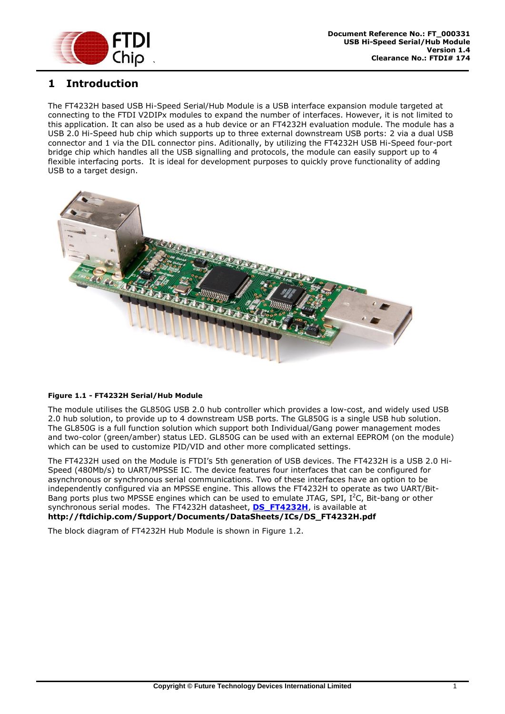

## <span id="page-1-0"></span>**1 Introduction**

The FT4232H based USB Hi-Speed Serial/Hub Module is a USB interface expansion module targeted at connecting to the FTDI V2DIPx modules to expand the number of interfaces. However, it is not limited to this application. It can also be used as a hub device or an FT4232H evaluation module. The module has a USB 2.0 Hi-Speed hub chip which supports up to three external downstream USB ports: 2 via a dual USB connector and 1 via the DIL connector pins. Aditionally, by utilizing the FT4232H USB Hi-Speed four-port bridge chip which handles all the USB signalling and protocols, the module can easily support up to 4 flexible interfacing ports. It is ideal for development purposes to quickly prove functionality of adding USB to a target design.



#### <span id="page-1-1"></span>**Figure 1.1 - FT4232H Serial/Hub Module**

The module utilises the GL850G USB 2.0 hub controller which provides a low-cost, and widely used USB 2.0 hub solution, to provide up to 4 downstream USB ports. The GL850G is a single USB hub solution. The GL850G is a full function solution which support both Individual/Gang power management modes and two-color (green/amber) status LED. GL850G can be used with an external EEPROM (on the module) which can be used to customize PID/VID and other more complicated settings.

The FT4232H used on the Module is FTDI's 5th generation of USB devices. The FT4232H is a USB 2.0 Hi-Speed (480Mb/s) to UART/MPSSE IC. The device features four interfaces that can be configured for asynchronous or synchronous serial communications. Two of these interfaces have an option to be independently configured via an MPSSE engine. This allows the FT4232H to operate as two UART/Bit-Bang ports plus two MPSSE engines which can be used to emulate JTAG, SPI, I<sup>2</sup>C, Bit-bang or other synchronous serial modes. The FT4232H datasheet, **[DS\\_FT4232H](http://ftdichip.com/Documents/DataSheets/DS_FT4232H_V110.pdf)**, is available at **http://ftdichip.com/Support/Documents/DataSheets/ICs/DS\_FT4232H.pdf**

The block diagram of FT4232H Hub Module is shown in Figure 1.2.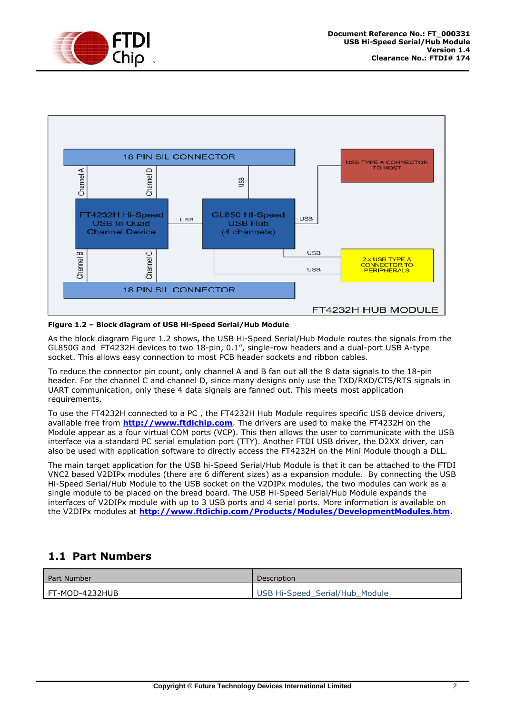



#### **Figure 1.2 – Block diagram of USB Hi-Speed Serial/Hub Module**

As the block diagram Figure 1.2 shows, the USB Hi-Speed Serial/Hub Module routes the signals from the GL850G and FT4232H devices to two 18-pin, 0.1", single-row headers and a dual-port USB A-type socket. This allows easy connection to most PCB header sockets and ribbon cables.

To reduce the connector pin count, only channel A and B fan out all the 8 data signals to the 18-pin header. For the channel C and channel D, since many designs only use the TXD/RXD/CTS/RTS signals in UART communication, only these 4 data signals are fanned out. This meets most application requirements.

To use the FT4232H connected to a PC , the FT4232H Hub Module requires specific USB device drivers, available free from **[http://www.ftdichip.com](http://www.ftdichip.com/)**. The drivers are used to make the FT4232H on the Module appear as a four virtual COM ports (VCP). This then allows the user to communicate with the USB interface via a standard PC serial emulation port (TTY). Another FTDI USB driver, the D2XX driver, can also be used with application software to directly access the FT4232H on the Mini Module though a DLL.

The main target application for the USB hi-Speed Serial/Hub Module is that it can be attached to the FTDI VNC2 based V2DIPx modules (there are 6 different sizes) as a expansion module. By connecting the USB Hi-Speed Serial/Hub Module to the USB socket on the V2DIPx modules, the two modules can work as a single module to be placed on the bread board. The USB Hi-Speed Serial/Hub Module expands the interfaces of V2DIPx module with up to 3 USB ports and 4 serial ports. More information is available on the V2DIPx modules at **<http://www.ftdichip.com/Products/Modules/DevelopmentModules.htm>**.

## <span id="page-2-0"></span>**1.1 Part Numbers**

| Part Number    | Description                    |
|----------------|--------------------------------|
| FT-MOD-4232HUB | USB Hi-Speed_Serial/Hub_Module |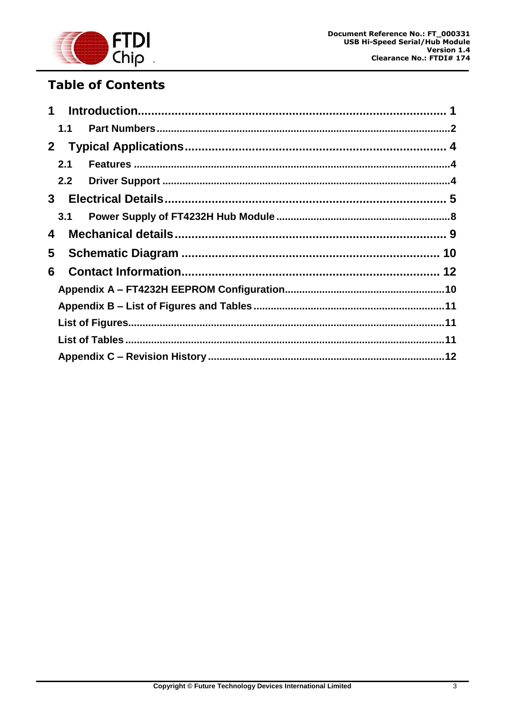

## **Table of Contents**

| $\mathbf 1$    |  |
|----------------|--|
| 1.1            |  |
| $\mathbf{2}$   |  |
| 2.1            |  |
|                |  |
| 3 <sup>1</sup> |  |
| 3.1            |  |
| 4              |  |
| 5              |  |
| 6              |  |
|                |  |
|                |  |
|                |  |
|                |  |
|                |  |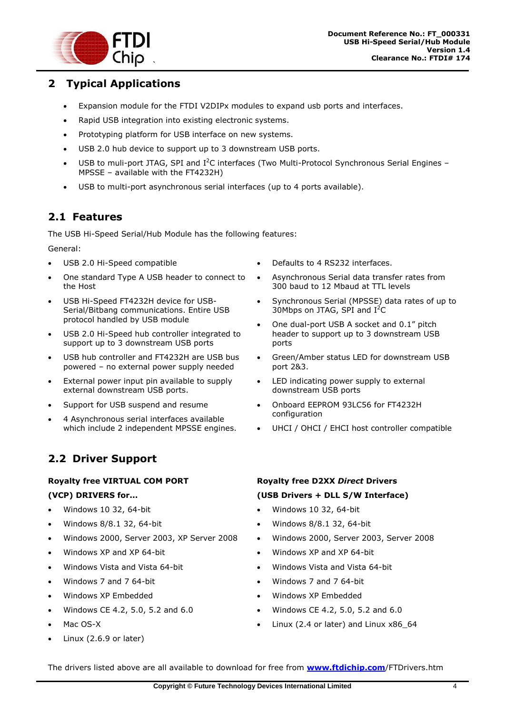

## <span id="page-4-0"></span>**2 Typical Applications**

- Expansion module for the FTDI V2DIPx modules to expand usb ports and interfaces.
- Rapid USB integration into existing electronic systems.
- Prototyping platform for USB interface on new systems.
- USB 2.0 hub device to support up to 3 downstream USB ports.
- USB to muli-port JTAG, SPI and I<sup>2</sup>C interfaces (Two Multi-Protocol Synchronous Serial Engines MPSSE – available with the FT4232H)
- USB to multi-port asynchronous serial interfaces (up to 4 ports available).

## <span id="page-4-1"></span>**2.1 Features**

The USB Hi-Speed Serial/Hub Module has the following features:

General:

- USB 2.0 Hi-Speed compatible
- One standard Type A USB header to connect to the Host
- USB Hi-Speed FT4232H device for USB-Serial/Bitbang communications. Entire USB protocol handled by USB module
- USB 2.0 Hi-Speed hub controller integrated to support up to 3 downstream USB ports
- USB hub controller and FT4232H are USB bus powered – no external power supply needed
- External power input pin available to supply external downstream USB ports.
- Support for USB suspend and resume
- 4 Asynchronous serial interfaces available which include 2 independent MPSSE engines.

## <span id="page-4-2"></span>**2.2 Driver Support**

## **Royalty free VIRTUAL COM PORT (VCP) DRIVERS for...**

- Windows 10 32, 64-bit
- Windows 8/8.1 32, 64-bit
- Windows 2000, Server 2003, XP Server 2008
- Windows XP and XP 64-bit
- Windows Vista and Vista 64-bit
- Windows 7 and 7 64-bit
- Windows XP Embedded
- Windows CE 4.2, 5.0, 5.2 and 6.0
- Mac OS-X
- Linux (2.6.9 or later)
- Defaults to 4 RS232 interfaces.
- Asynchronous Serial data transfer rates from 300 baud to 12 Mbaud at TTL levels
- Synchronous Serial (MPSSE) data rates of up to 30Mbps on JTAG, SPI and  $I^2C$
- One dual-port USB A socket and 0.1" pitch header to support up to 3 downstream USB ports
- Green/Amber status LED for downstream USB port 2&3.
- LED indicating power supply to external downstream USB ports
- Onboard EEPROM 93LC56 for FT4232H configuration
- UHCI / OHCI / EHCI host controller compatible

## **Royalty free D2XX** *Direct* **Drivers (USB Drivers + DLL S/W Interface)**

- Windows 10 32, 64-bit
- Windows 8/8.1 32, 64-bit
- Windows 2000, Server 2003, Server 2008
- Windows XP and XP 64-bit
- Windows Vista and Vista 64-bit
- Windows 7 and 7 64-bit
- Windows XP Embedded
- Windows CE 4.2, 5.0, 5.2 and 6.0
- Linux (2.4 or later) and Linux x86\_64

The drivers listed above are all available to download for free from **[www.ftdichip.com](http://www.ftdichip.com/)**/FTDrivers.htm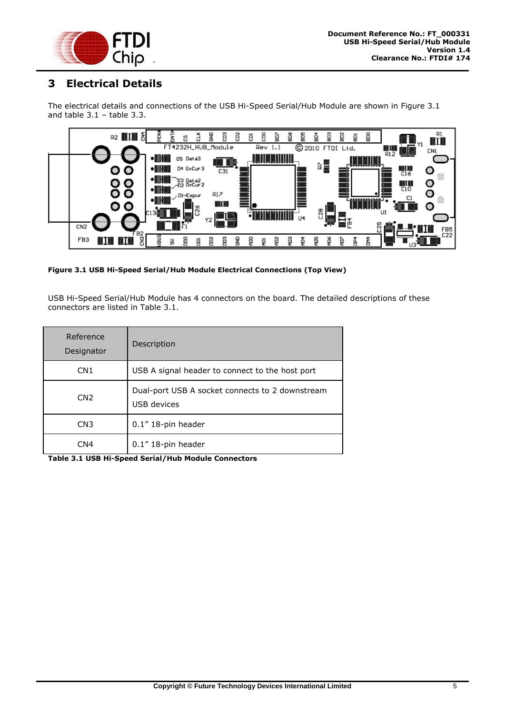

## <span id="page-5-0"></span>**3 Electrical Details**

The electrical details and connections of the USB Hi-Speed Serial/Hub Module are shown in Figure 3.1 and table  $3.1$  – table  $3.3$ .



<span id="page-5-1"></span>**Figure 3.1 USB Hi-Speed Serial/Hub Module Electrical Connections (Top View)**

USB Hi-Speed Serial/Hub Module has 4 connectors on the board. The detailed descriptions of these connectors are listed in Table 3.1.

| Reference<br>Designator | Description                                                    |
|-------------------------|----------------------------------------------------------------|
| CN <sub>1</sub>         | USB A signal header to connect to the host port                |
| CN <sub>2</sub>         | Dual-port USB A socket connects to 2 downstream<br>USB devices |
| CN <sub>3</sub>         | 0.1" 18-pin header                                             |
| CN4                     | $0.1''$ 18-pin header                                          |

<span id="page-5-2"></span>**Table 3.1 USB Hi-Speed Serial/Hub Module Connectors**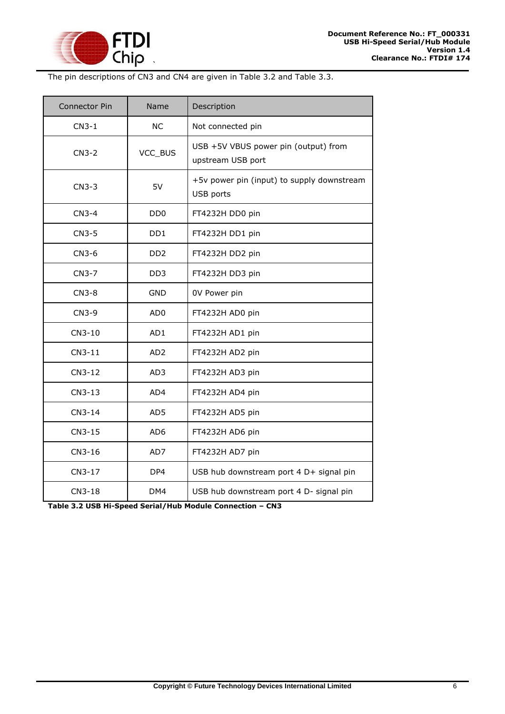

The pin descriptions of CN3 and CN4 are given in Table 3.2 and Table 3.3.

| <b>Connector Pin</b> | Name                        | Description                                               |
|----------------------|-----------------------------|-----------------------------------------------------------|
| $CN3-1$              | <b>NC</b>                   | Not connected pin                                         |
| $CN3-2$              | VCC_BUS                     | USB +5V VBUS power pin (output) from<br>upstream USB port |
| $CN3-3$              | 5V                          | +5v power pin (input) to supply downstream<br>USB ports   |
| $CN3-4$              | DD <sub>0</sub>             | FT4232H DD0 pin                                           |
| $CN3-5$              | D <sub>D</sub> 1            | FT4232H DD1 pin                                           |
| $CN3-6$              | D <sub>D</sub> <sub>2</sub> | FT4232H DD2 pin                                           |
| $CN3-7$              | DD3                         | FT4232H DD3 pin                                           |
| $CN3-8$              | <b>GND</b>                  | 0V Power pin                                              |
| CN3-9                | AD <sub>0</sub>             | FT4232H AD0 pin                                           |
| CN3-10               | AD1                         | FT4232H AD1 pin                                           |
| CN3-11               | AD <sub>2</sub>             | FT4232H AD2 pin                                           |
| CN3-12               | AD3                         | FT4232H AD3 pin                                           |
| CN3-13               | AD4                         | FT4232H AD4 pin                                           |
| $CN3-14$             | AD5                         | FT4232H AD5 pin                                           |
| CN3-15               | AD <sub>6</sub>             | FT4232H AD6 pin                                           |
| CN3-16               | AD7                         | FT4232H AD7 pin                                           |
| CN3-17               | DP4                         | USB hub downstream port 4 D+ signal pin                   |
| CN3-18               | DM4                         | USB hub downstream port 4 D- signal pin                   |

**Table 3.2 USB Hi-Speed Serial/Hub Module Connection – CN3**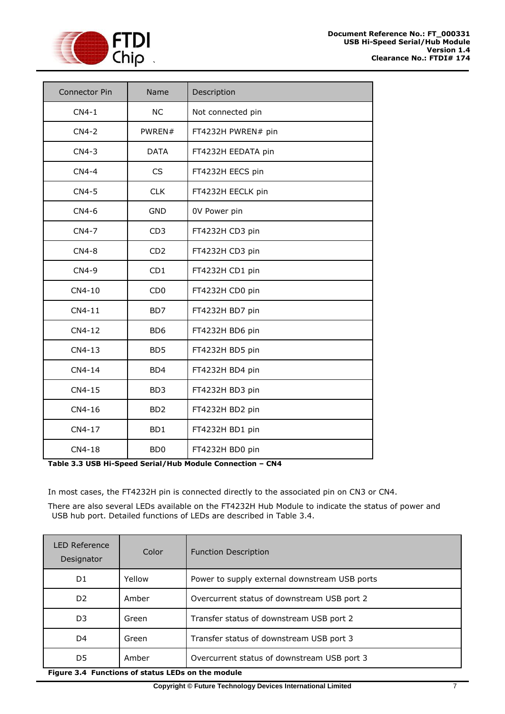

| <b>Connector Pin</b> | Name             | Description        |
|----------------------|------------------|--------------------|
| $CN4-1$              | <b>NC</b>        | Not connected pin  |
| $CN4-2$              | PWREN#           | FT4232H PWREN# pin |
| $CN4-3$              | <b>DATA</b>      | FT4232H EEDATA pin |
| $CN4-4$              | CS               | FT4232H EECS pin   |
| $CN4-5$              | <b>CLK</b>       | FT4232H EECLK pin  |
| $CN4-6$              | <b>GND</b>       | 0V Power pin       |
| <b>CN4-7</b>         | CD3              | FT4232H CD3 pin    |
| $CN4-8$              | CD2              | FT4232H CD3 pin    |
| $CN4-9$              | CD1              | FT4232H CD1 pin    |
| CN4-10               | CD <sub>0</sub>  | FT4232H CD0 pin    |
| CN4-11               | BD7              | FT4232H BD7 pin    |
| CN4-12               | B <sub>D6</sub>  | FT4232H BD6 pin    |
| $CN4-13$             | B <sub>D</sub>   | FT4232H BD5 pin    |
| CN4-14               | B <sub>D</sub> 4 | FT4232H BD4 pin    |
| CN4-15               | BD <sub>3</sub>  | FT4232H BD3 pin    |
| CN4-16               | B <sub>D</sub> 2 | FT4232H BD2 pin    |
| CN4-17               | B <sub>D</sub> 1 | FT4232H BD1 pin    |
| CN4-18               | B <sub>D</sub>   | FT4232H BD0 pin    |

**Table 3.3 USB Hi-Speed Serial/Hub Module Connection – CN4**

In most cases, the FT4232H pin is connected directly to the associated pin on CN3 or CN4.

There are also several LEDs available on the FT4232H Hub Module to indicate the status of power and USB hub port. Detailed functions of LEDs are described in Table 3.4.

| <b>LED Reference</b><br>Designator                | Color  | <b>Function Description</b>                   |
|---------------------------------------------------|--------|-----------------------------------------------|
| D1                                                | Yellow | Power to supply external downstream USB ports |
| D <sub>2</sub>                                    | Amber  | Overcurrent status of downstream USB port 2   |
| D <sub>3</sub>                                    | Green  | Transfer status of downstream USB port 2      |
| D4                                                | Green  | Transfer status of downstream USB port 3      |
| D5                                                | Amber  | Overcurrent status of downstream USB port 3   |
| Figure 3.4 Functions of status LEDs on the module |        |                                               |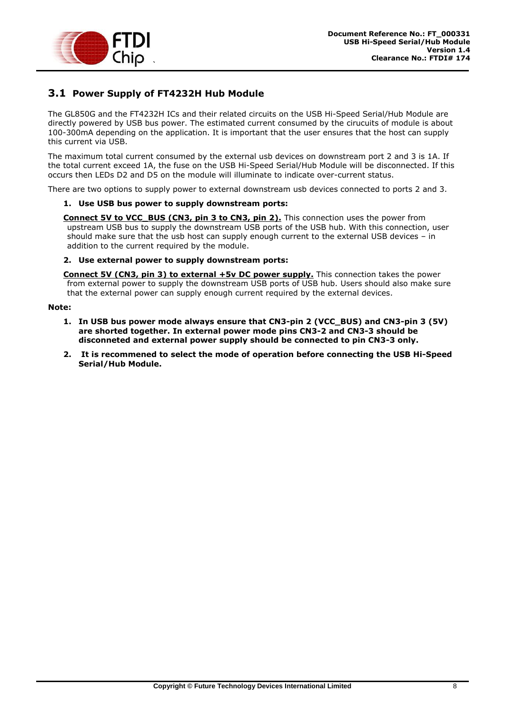

### <span id="page-8-0"></span>**3.1 Power Supply of FT4232H Hub Module**

The GL850G and the FT4232H ICs and their related circuits on the USB Hi-Speed Serial/Hub Module are directly powered by USB bus power. The estimated current consumed by the cirucuits of module is about 100-300mA depending on the application. It is important that the user ensures that the host can supply this current via USB.

The maximum total current consumed by the external usb devices on downstream port 2 and 3 is 1A. If the total current exceed 1A, the fuse on the USB Hi-Speed Serial/Hub Module will be disconnected. If this occurs then LEDs D2 and D5 on the module will illuminate to indicate over-current status.

There are two options to supply power to external downstream usb devices connected to ports 2 and 3.

#### **1. Use USB bus power to supply downstream ports:**

**Connect 5V to VCC\_BUS (CN3, pin 3 to CN3, pin 2).** This connection uses the power from upstream USB bus to supply the downstream USB ports of the USB hub. With this connection, user should make sure that the usb host can supply enough current to the external USB devices – in addition to the current required by the module.

#### **2. Use external power to supply downstream ports:**

**Connect 5V (CN3, pin 3) to external +5v DC power supply.** This connection takes the power from external power to supply the downstream USB ports of USB hub. Users should also make sure that the external power can supply enough current required by the external devices.

#### **Note:**

- **1. In USB bus power mode always ensure that CN3-pin 2 (VCC\_BUS) and CN3-pin 3 (5V) are shorted together. In external power mode pins CN3-2 and CN3-3 should be disconneted and external power supply should be connected to pin CN3-3 only.**
- **2. It is recommened to select the mode of operation before connecting the USB Hi-Speed Serial/Hub Module.**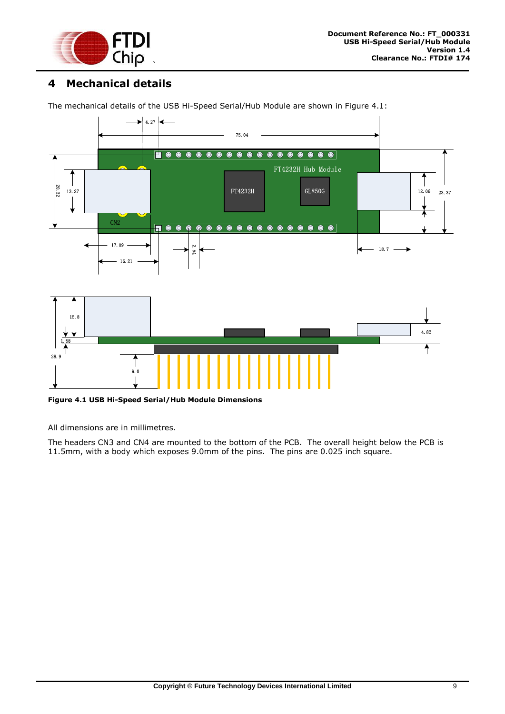

## <span id="page-9-0"></span>**4 Mechanical details**



The mechanical details of the USB Hi-Speed Serial/Hub Module are shown in [Figure 4.1:](#page-9-1)

<span id="page-9-1"></span>**Figure 4.1 USB Hi-Speed Serial/Hub Module Dimensions**

All dimensions are in millimetres.

The headers CN3 and CN4 are mounted to the bottom of the PCB. The overall height below the PCB is 11.5mm, with a body which exposes 9.0mm of the pins. The pins are 0.025 inch square.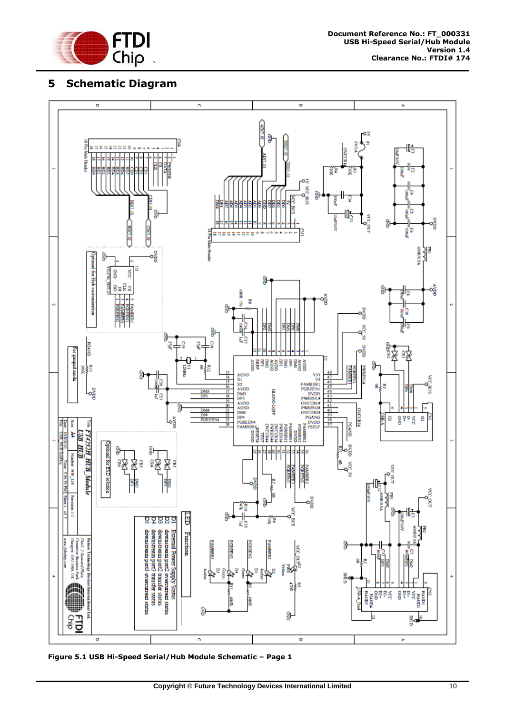

## <span id="page-10-0"></span>**5 Schematic Diagram**



<span id="page-10-1"></span>**Figure 5.1 USB Hi-Speed Serial/Hub Module Schematic – Page 1**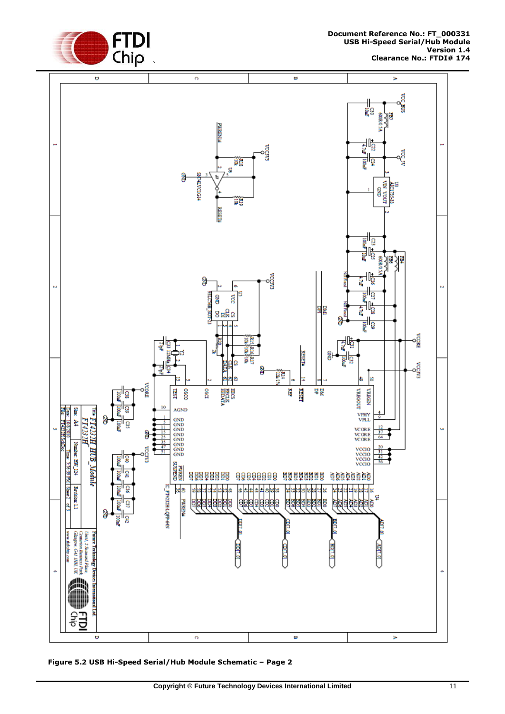



<span id="page-11-0"></span>**Figure 5.2 USB Hi-Speed Serial/Hub Module Schematic – Page 2**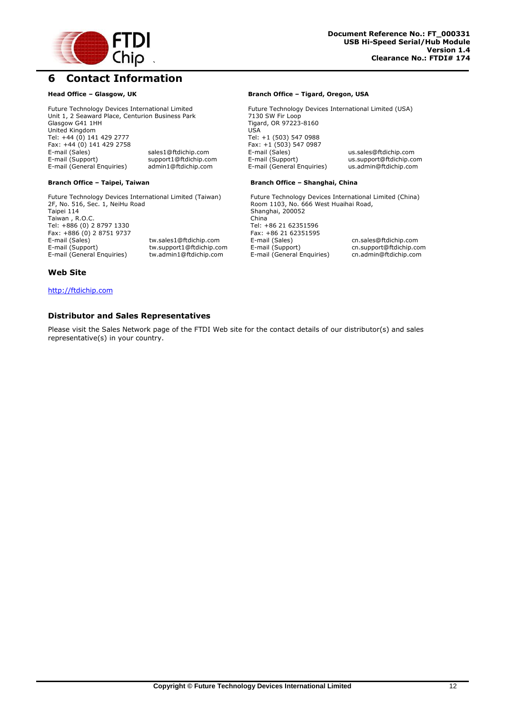

## <span id="page-12-0"></span>**6 Contact Information**

Future Technology Devices International Limited Unit 1, 2 Seaward Place, Centurion Business Park Glasgow G41 1HH United Kingdom Tel: +44 (0) 141 429 2777 Fax: +44 (0) 141 429 2758<br>E-mail (Sales) E-mail (Support) support1@ftdichip.com E-mail (Support) us.support@ftdichip.com

Future Technology Devices International Limited (Taiwan) 2F, No. 516, Sec. 1, NeiHu Road Taipei 114 Taiwan , R.O.C. Tel: +886 (0) 2 8797 1330 Fax: +886 (0) 2 8751 9737<br>E-mail (Sales) E-mail (Sales) tw.sales1@ftdichip.com E-mail (Sales) cn.sales@ftdichip.com E-mail (Support) tw.support1@ftdichip.com E-mail (Support) cn.support@ftdichip.com

#### **Web Site**

[http://ftdichip.com](http://ftdichip.com/)

#### **Distributor and Sales Representatives**

Please visit the Sales Network page of the FTDI Web site for the contact details of our distributor(s) and sales representative(s) in your country.

#### **Head Office – Glasgow, UK Branch Office – Tigard, Oregon, USA**

Future Technology Devices International Limited (USA) 7130 SW Fir Loop Tigard, OR 97223-8160 USA Tel: +1 (503) 547 0988 Fax: +1 (503) 547 0987<br>E-mail (Sales) E-mail (Sales) sales1@ftdichip.com E-mail (Sales) us.sales@ftdichip.com E-mail (General Enquiries)

#### **Branch Office – Taipei, Taiwan Branch Office – Shanghai, China**

Future Technology Devices International Limited (China) Room 1103, No. 666 West Huaihai Road, Shanghai, 200052 China Tel: +86 21 62351596 Fax: +86 21 62351595<br>E-mail (Sales) E-mail (General Enquiries)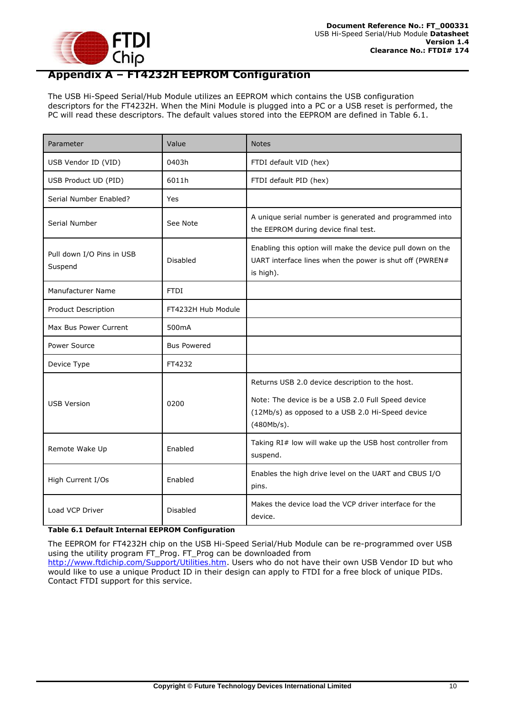

## <span id="page-13-0"></span>**Appendix A – FT4232H EEPROM Configuration**

The USB Hi-Speed Serial/Hub Module utilizes an EEPROM which contains the USB configuration descriptors for the FT4232H. When the Mini Module is plugged into a PC or a USB reset is performed, the PC will read these descriptors. The default values stored into the EEPROM are defined in [Table 6.1.](#page-13-1)

| Parameter                            | Value              | <b>Notes</b>                                                                                                                       |
|--------------------------------------|--------------------|------------------------------------------------------------------------------------------------------------------------------------|
| USB Vendor ID (VID)                  | 0403h              | FTDI default VID (hex)                                                                                                             |
| USB Product UD (PID)                 | 6011h              | FTDI default PID (hex)                                                                                                             |
| Serial Number Enabled?               | Yes                |                                                                                                                                    |
| Serial Number                        | See Note           | A unique serial number is generated and programmed into<br>the EEPROM during device final test.                                    |
| Pull down I/O Pins in USB<br>Suspend | <b>Disabled</b>    | Enabling this option will make the device pull down on the<br>UART interface lines when the power is shut off (PWREN#<br>is high). |
| Manufacturer Name                    | <b>FTDI</b>        |                                                                                                                                    |
| Product Description                  | FT4232H Hub Module |                                                                                                                                    |
| Max Bus Power Current                | 500 <sub>m</sub> A |                                                                                                                                    |
| Power Source                         | <b>Bus Powered</b> |                                                                                                                                    |
| Device Type                          | FT4232             |                                                                                                                                    |
|                                      |                    | Returns USB 2.0 device description to the host.                                                                                    |
| <b>USB Version</b>                   | 0200               | Note: The device is be a USB 2.0 Full Speed device<br>(12Mb/s) as opposed to a USB 2.0 Hi-Speed device<br>(480Mb/s).               |
| Remote Wake Up                       | Enabled            | Taking RI# low will wake up the USB host controller from<br>suspend.                                                               |
| High Current I/Os                    | Enabled            | Enables the high drive level on the UART and CBUS I/O<br>pins.                                                                     |
| Load VCP Driver                      | Disabled           | Makes the device load the VCP driver interface for the<br>device.                                                                  |

<span id="page-13-1"></span>**Table 6.1 Default Internal EEPROM Configuration**

The EEPROM for FT4232H chip on the USB Hi-Speed Serial/Hub Module can be re-programmed over USB using the utility program FT\_Prog. FT\_Prog can be downloaded from

[http://www.ftdichip.com/Support/Utilities.htm.](http://www.ftdichip.com/Support/Utilities.htm) Users who do not have their own USB Vendor ID but who would like to use a unique Product ID in their design can apply to FTDI for a free block of unique PIDs. Contact FTDI support for this service.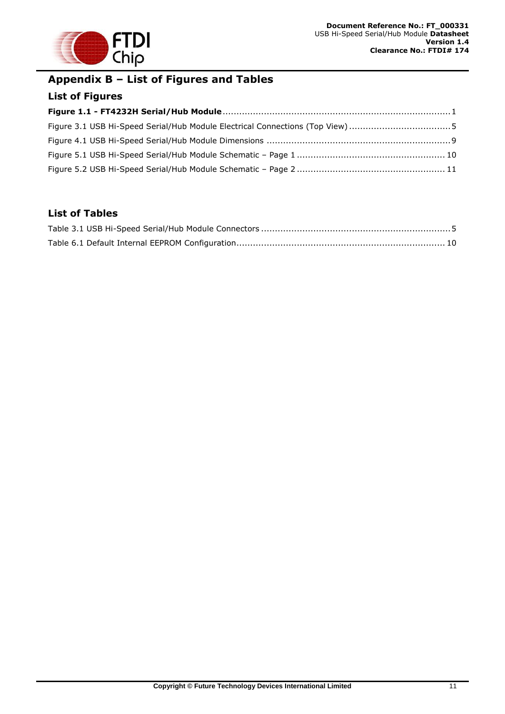



## <span id="page-14-0"></span>**Appendix B – List of Figures and Tables**

## <span id="page-14-1"></span>**List of Figures**

| Figure 3.1 USB Hi-Speed Serial/Hub Module Electrical Connections (Top View) 5 |  |
|-------------------------------------------------------------------------------|--|
|                                                                               |  |
|                                                                               |  |
|                                                                               |  |

## <span id="page-14-2"></span>**List of Tables**